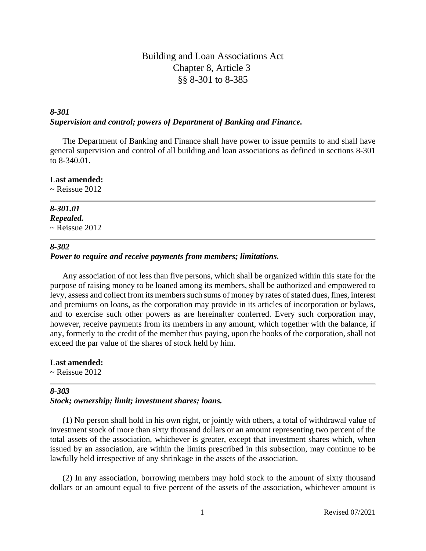## Building and Loan Associations Act Chapter 8, Article 3 §§ 8-301 to 8-385

## *8-301 Supervision and control; powers of Department of Banking and Finance.*

The Department of Banking and Finance shall have power to issue permits to and shall have general supervision and control of all building and loan associations as defined in sections 8-301 to 8-340.01.

## **Last amended:**

 $\sim$  Reissue 2012

## *8-301.01 Repealed.*

 $\sim$  Reissue 2012

### *8-302*

## *Power to require and receive payments from members; limitations.*

Any association of not less than five persons, which shall be organized within this state for the purpose of raising money to be loaned among its members, shall be authorized and empowered to levy, assess and collect from its members such sums of money by rates of stated dues, fines, interest and premiums on loans, as the corporation may provide in its articles of incorporation or bylaws, and to exercise such other powers as are hereinafter conferred. Every such corporation may, however, receive payments from its members in any amount, which together with the balance, if any, formerly to the credit of the member thus paying, upon the books of the corporation, shall not exceed the par value of the shares of stock held by him.

**Last amended:**  $\sim$  Reissue 2012

## *8-303*

## *Stock; ownership; limit; investment shares; loans.*

(1) No person shall hold in his own right, or jointly with others, a total of withdrawal value of investment stock of more than sixty thousand dollars or an amount representing two percent of the total assets of the association, whichever is greater, except that investment shares which, when issued by an association, are within the limits prescribed in this subsection, may continue to be lawfully held irrespective of any shrinkage in the assets of the association.

(2) In any association, borrowing members may hold stock to the amount of sixty thousand dollars or an amount equal to five percent of the assets of the association, whichever amount is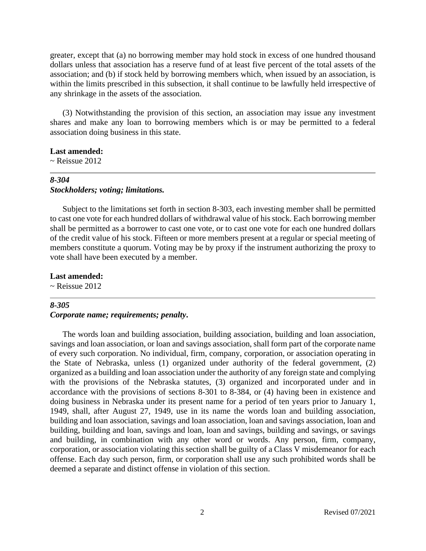greater, except that (a) no borrowing member may hold stock in excess of one hundred thousand dollars unless that association has a reserve fund of at least five percent of the total assets of the association; and (b) if stock held by borrowing members which, when issued by an association, is within the limits prescribed in this subsection, it shall continue to be lawfully held irrespective of any shrinkage in the assets of the association.

(3) Notwithstanding the provision of this section, an association may issue any investment shares and make any loan to borrowing members which is or may be permitted to a federal association doing business in this state.

#### **Last amended:**

 $\sim$  Reissue 2012

## *8-304 Stockholders; voting; limitations.*

Subject to the limitations set forth in section 8-303, each investing member shall be permitted to cast one vote for each hundred dollars of withdrawal value of his stock. Each borrowing member shall be permitted as a borrower to cast one vote, or to cast one vote for each one hundred dollars of the credit value of his stock. Fifteen or more members present at a regular or special meeting of members constitute a quorum. Voting may be by proxy if the instrument authorizing the proxy to vote shall have been executed by a member.

#### **Last amended:**

 $\sim$  Reissue 2012

#### *8-305*

#### *Corporate name; requirements; penalty***.**

The words loan and building association, building association, building and loan association, savings and loan association, or loan and savings association, shall form part of the corporate name of every such corporation. No individual, firm, company, corporation, or association operating in the State of Nebraska, unless (1) organized under authority of the federal government, (2) organized as a building and loan association under the authority of any foreign state and complying with the provisions of the Nebraska statutes, (3) organized and incorporated under and in accordance with the provisions of sections 8-301 to 8-384, or (4) having been in existence and doing business in Nebraska under its present name for a period of ten years prior to January 1, 1949, shall, after August 27, 1949, use in its name the words loan and building association, building and loan association, savings and loan association, loan and savings association, loan and building, building and loan, savings and loan, loan and savings, building and savings, or savings and building, in combination with any other word or words. Any person, firm, company, corporation, or association violating this section shall be guilty of a Class V misdemeanor for each offense. Each day such person, firm, or corporation shall use any such prohibited words shall be deemed a separate and distinct offense in violation of this section.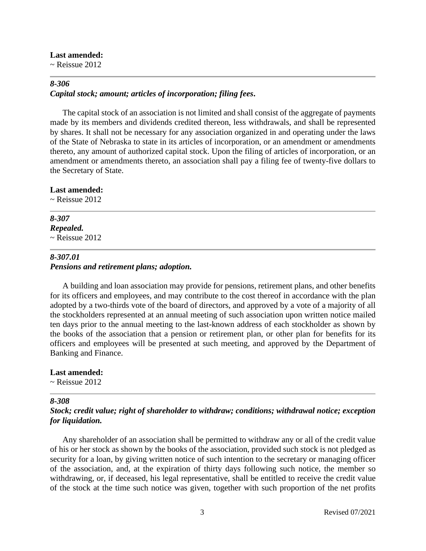#### **Last amended:**

 $\sim$  Reissue 2012

#### *8-306 Capital stock; amount; articles of incorporation; filing fees***.**

The capital stock of an association is not limited and shall consist of the aggregate of payments made by its members and dividends credited thereon, less withdrawals, and shall be represented by shares. It shall not be necessary for any association organized in and operating under the laws of the State of Nebraska to state in its articles of incorporation, or an amendment or amendments thereto, any amount of authorized capital stock. Upon the filing of articles of incorporation, or an amendment or amendments thereto, an association shall pay a filing fee of twenty-five dollars to the Secretary of State.

#### **Last amended:**

 $\sim$  Reissue 2012

## *8-307 Repealed.*

 $\sim$  Reissue 2012

## *8-307.01*

### *Pensions and retirement plans; adoption.*

A building and loan association may provide for pensions, retirement plans, and other benefits for its officers and employees, and may contribute to the cost thereof in accordance with the plan adopted by a two-thirds vote of the board of directors, and approved by a vote of a majority of all the stockholders represented at an annual meeting of such association upon written notice mailed ten days prior to the annual meeting to the last-known address of each stockholder as shown by the books of the association that a pension or retirement plan, or other plan for benefits for its officers and employees will be presented at such meeting, and approved by the Department of Banking and Finance.

#### **Last amended:**

 $\sim$  Reissue 2012

#### *8-308*

## *Stock; credit value; right of shareholder to withdraw; conditions; withdrawal notice; exception for liquidation.*

Any shareholder of an association shall be permitted to withdraw any or all of the credit value of his or her stock as shown by the books of the association, provided such stock is not pledged as security for a loan, by giving written notice of such intention to the secretary or managing officer of the association, and, at the expiration of thirty days following such notice, the member so withdrawing, or, if deceased, his legal representative, shall be entitled to receive the credit value of the stock at the time such notice was given, together with such proportion of the net profits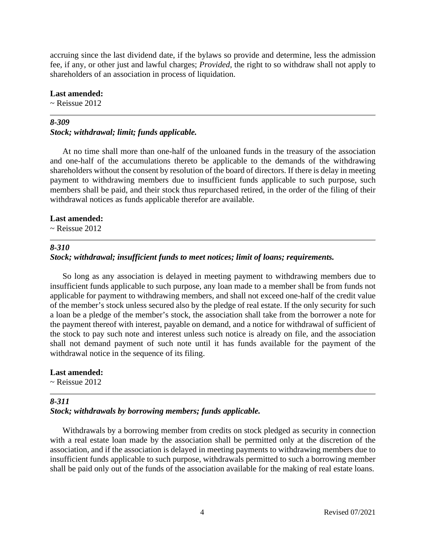accruing since the last dividend date, if the bylaws so provide and determine, less the admission fee, if any, or other just and lawful charges; *Provided,* the right to so withdraw shall not apply to shareholders of an association in process of liquidation.

#### **Last amended:**

 $\sim$  Reissue 2012

#### *8-309*

#### *Stock; withdrawal; limit; funds applicable.*

At no time shall more than one-half of the unloaned funds in the treasury of the association and one-half of the accumulations thereto be applicable to the demands of the withdrawing shareholders without the consent by resolution of the board of directors. If there is delay in meeting payment to withdrawing members due to insufficient funds applicable to such purpose, such members shall be paid, and their stock thus repurchased retired, in the order of the filing of their withdrawal notices as funds applicable therefor are available.

#### **Last amended:**

 $\sim$  Reissue 2012

#### *8-310*

#### *Stock; withdrawal; insufficient funds to meet notices; limit of loans; requirements.*

So long as any association is delayed in meeting payment to withdrawing members due to insufficient funds applicable to such purpose, any loan made to a member shall be from funds not applicable for payment to withdrawing members, and shall not exceed one-half of the credit value of the member's stock unless secured also by the pledge of real estate. If the only security for such a loan be a pledge of the member's stock, the association shall take from the borrower a note for the payment thereof with interest, payable on demand, and a notice for withdrawal of sufficient of the stock to pay such note and interest unless such notice is already on file, and the association shall not demand payment of such note until it has funds available for the payment of the withdrawal notice in the sequence of its filing.

#### **Last amended:**

 $\sim$  Reissue 2012

#### *8-311*

#### *Stock; withdrawals by borrowing members; funds applicable.*

Withdrawals by a borrowing member from credits on stock pledged as security in connection with a real estate loan made by the association shall be permitted only at the discretion of the association, and if the association is delayed in meeting payments to withdrawing members due to insufficient funds applicable to such purpose, withdrawals permitted to such a borrowing member shall be paid only out of the funds of the association available for the making of real estate loans.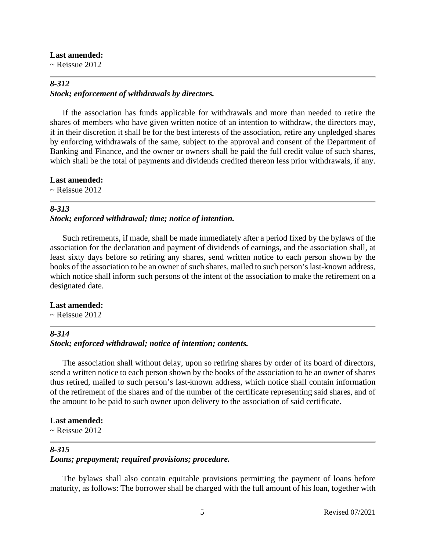#### **Last amended:**

 $\sim$  Reissue 2012

## *8-312 Stock; enforcement of withdrawals by directors.*

If the association has funds applicable for withdrawals and more than needed to retire the shares of members who have given written notice of an intention to withdraw, the directors may, if in their discretion it shall be for the best interests of the association, retire any unpledged shares by enforcing withdrawals of the same, subject to the approval and consent of the Department of Banking and Finance, and the owner or owners shall be paid the full credit value of such shares, which shall be the total of payments and dividends credited thereon less prior withdrawals, if any.

**Last amended:**

 $\sim$  Reissue 2012

## *8-313*

### *Stock; enforced withdrawal; time; notice of intention.*

Such retirements, if made, shall be made immediately after a period fixed by the bylaws of the association for the declaration and payment of dividends of earnings, and the association shall, at least sixty days before so retiring any shares, send written notice to each person shown by the books of the association to be an owner of such shares, mailed to such person's last-known address, which notice shall inform such persons of the intent of the association to make the retirement on a designated date.

#### **Last amended:**

 $\sim$  Reissue 2012

## *8-314*

## *Stock; enforced withdrawal; notice of intention; contents.*

The association shall without delay, upon so retiring shares by order of its board of directors, send a written notice to each person shown by the books of the association to be an owner of shares thus retired, mailed to such person's last-known address, which notice shall contain information of the retirement of the shares and of the number of the certificate representing said shares, and of the amount to be paid to such owner upon delivery to the association of said certificate.

## **Last amended:**

 $\sim$  Reissue 2012

## *8-315 Loans; prepayment; required provisions; procedure.*

The bylaws shall also contain equitable provisions permitting the payment of loans before maturity, as follows: The borrower shall be charged with the full amount of his loan, together with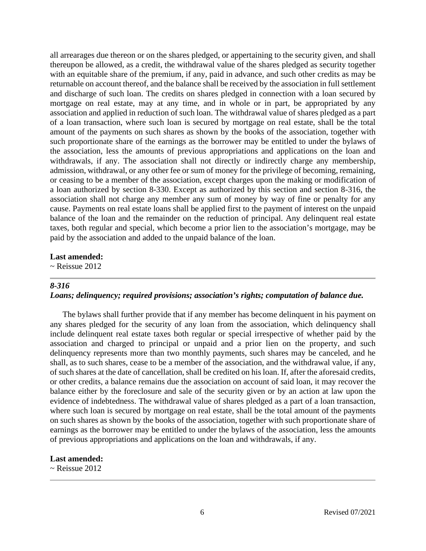all arrearages due thereon or on the shares pledged, or appertaining to the security given, and shall thereupon be allowed, as a credit, the withdrawal value of the shares pledged as security together with an equitable share of the premium, if any, paid in advance, and such other credits as may be returnable on account thereof, and the balance shall be received by the association in full settlement and discharge of such loan. The credits on shares pledged in connection with a loan secured by mortgage on real estate, may at any time, and in whole or in part, be appropriated by any association and applied in reduction of such loan. The withdrawal value of shares pledged as a part of a loan transaction, where such loan is secured by mortgage on real estate, shall be the total amount of the payments on such shares as shown by the books of the association, together with such proportionate share of the earnings as the borrower may be entitled to under the bylaws of the association, less the amounts of previous appropriations and applications on the loan and withdrawals, if any. The association shall not directly or indirectly charge any membership, admission, withdrawal, or any other fee or sum of money for the privilege of becoming, remaining, or ceasing to be a member of the association, except charges upon the making or modification of a loan authorized by section 8-330. Except as authorized by this section and section 8-316, the association shall not charge any member any sum of money by way of fine or penalty for any cause. Payments on real estate loans shall be applied first to the payment of interest on the unpaid balance of the loan and the remainder on the reduction of principal. Any delinquent real estate taxes, both regular and special, which become a prior lien to the association's mortgage, may be paid by the association and added to the unpaid balance of the loan.

#### **Last amended:**

 $\sim$  Reissue 2012

#### *8-316*

## *Loans; delinquency; required provisions; association's rights; computation of balance due.*

The bylaws shall further provide that if any member has become delinquent in his payment on any shares pledged for the security of any loan from the association, which delinquency shall include delinquent real estate taxes both regular or special irrespective of whether paid by the association and charged to principal or unpaid and a prior lien on the property, and such delinquency represents more than two monthly payments, such shares may be canceled, and he shall, as to such shares, cease to be a member of the association, and the withdrawal value, if any, of such shares at the date of cancellation, shall be credited on his loan. If, after the aforesaid credits, or other credits, a balance remains due the association on account of said loan, it may recover the balance either by the foreclosure and sale of the security given or by an action at law upon the evidence of indebtedness. The withdrawal value of shares pledged as a part of a loan transaction, where such loan is secured by mortgage on real estate, shall be the total amount of the payments on such shares as shown by the books of the association, together with such proportionate share of earnings as the borrower may be entitled to under the bylaws of the association, less the amounts of previous appropriations and applications on the loan and withdrawals, if any.

#### **Last amended:**

 $\sim$  Reissue 2012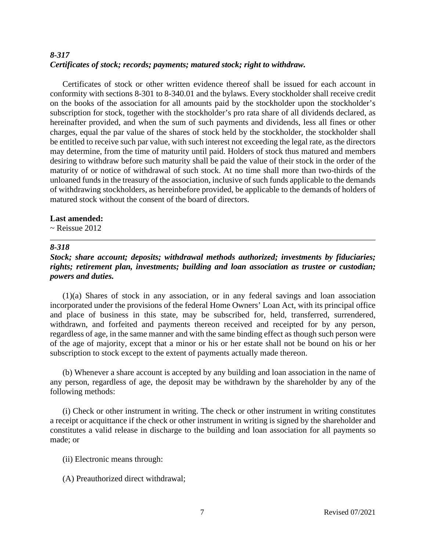## *8-317 Certificates of stock; records; payments; matured stock; right to withdraw.*

Certificates of stock or other written evidence thereof shall be issued for each account in conformity with sections 8-301 to 8-340.01 and the bylaws. Every stockholder shall receive credit on the books of the association for all amounts paid by the stockholder upon the stockholder's subscription for stock, together with the stockholder's pro rata share of all dividends declared, as hereinafter provided, and when the sum of such payments and dividends, less all fines or other charges, equal the par value of the shares of stock held by the stockholder, the stockholder shall be entitled to receive such par value, with such interest not exceeding the legal rate, as the directors may determine, from the time of maturity until paid. Holders of stock thus matured and members desiring to withdraw before such maturity shall be paid the value of their stock in the order of the maturity of or notice of withdrawal of such stock. At no time shall more than two-thirds of the unloaned funds in the treasury of the association, inclusive of such funds applicable to the demands of withdrawing stockholders, as hereinbefore provided, be applicable to the demands of holders of matured stock without the consent of the board of directors.

### **Last amended:**

 $\sim$  Reissue 2012

### *8-318*

## *Stock; share account; deposits; withdrawal methods authorized; investments by fiduciaries; rights; retirement plan, investments; building and loan association as trustee or custodian; powers and duties.*

(1)(a) Shares of stock in any association, or in any federal savings and loan association incorporated under the provisions of the federal Home Owners' Loan Act, with its principal office and place of business in this state, may be subscribed for, held, transferred, surrendered, withdrawn, and forfeited and payments thereon received and receipted for by any person, regardless of age, in the same manner and with the same binding effect as though such person were of the age of majority, except that a minor or his or her estate shall not be bound on his or her subscription to stock except to the extent of payments actually made thereon.

(b) Whenever a share account is accepted by any building and loan association in the name of any person, regardless of age, the deposit may be withdrawn by the shareholder by any of the following methods:

(i) Check or other instrument in writing. The check or other instrument in writing constitutes a receipt or acquittance if the check or other instrument in writing is signed by the shareholder and constitutes a valid release in discharge to the building and loan association for all payments so made; or

- (ii) Electronic means through:
- (A) Preauthorized direct withdrawal;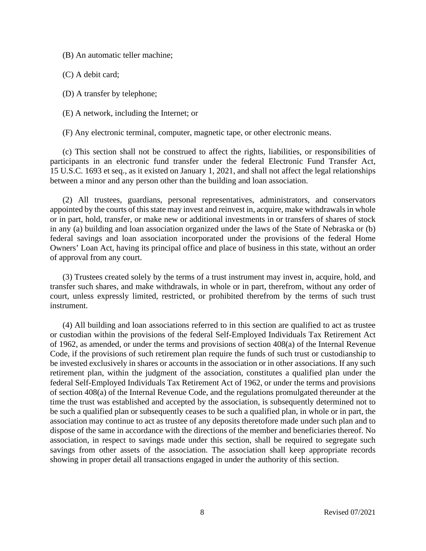(B) An automatic teller machine;

(C) A debit card;

(D) A transfer by telephone;

(E) A network, including the Internet; or

(F) Any electronic terminal, computer, magnetic tape, or other electronic means.

(c) This section shall not be construed to affect the rights, liabilities, or responsibilities of participants in an electronic fund transfer under the federal Electronic Fund Transfer Act, 15 U.S.C. 1693 et seq., as it existed on January 1, 2021, and shall not affect the legal relationships between a minor and any person other than the building and loan association.

(2) All trustees, guardians, personal representatives, administrators, and conservators appointed by the courts of this state may invest and reinvest in, acquire, make withdrawals in whole or in part, hold, transfer, or make new or additional investments in or transfers of shares of stock in any (a) building and loan association organized under the laws of the State of Nebraska or (b) federal savings and loan association incorporated under the provisions of the federal Home Owners' Loan Act, having its principal office and place of business in this state, without an order of approval from any court.

(3) Trustees created solely by the terms of a trust instrument may invest in, acquire, hold, and transfer such shares, and make withdrawals, in whole or in part, therefrom, without any order of court, unless expressly limited, restricted, or prohibited therefrom by the terms of such trust instrument.

(4) All building and loan associations referred to in this section are qualified to act as trustee or custodian within the provisions of the federal Self-Employed Individuals Tax Retirement Act of 1962, as amended, or under the terms and provisions of section 408(a) of the Internal Revenue Code, if the provisions of such retirement plan require the funds of such trust or custodianship to be invested exclusively in shares or accounts in the association or in other associations. If any such retirement plan, within the judgment of the association, constitutes a qualified plan under the federal Self-Employed Individuals Tax Retirement Act of 1962, or under the terms and provisions of section 408(a) of the Internal Revenue Code, and the regulations promulgated thereunder at the time the trust was established and accepted by the association, is subsequently determined not to be such a qualified plan or subsequently ceases to be such a qualified plan, in whole or in part, the association may continue to act as trustee of any deposits theretofore made under such plan and to dispose of the same in accordance with the directions of the member and beneficiaries thereof. No association, in respect to savings made under this section, shall be required to segregate such savings from other assets of the association. The association shall keep appropriate records showing in proper detail all transactions engaged in under the authority of this section.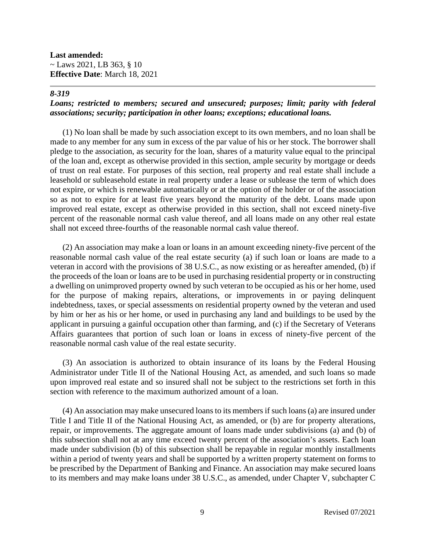**Last amended:**  $\sim$  Laws 2021, LB 363, § 10 **Effective Date**: March 18, 2021

### *8-319*

### *Loans; restricted to members; secured and unsecured; purposes; limit; parity with federal associations; security; participation in other loans; exceptions; educational loans.*

(1) No loan shall be made by such association except to its own members, and no loan shall be made to any member for any sum in excess of the par value of his or her stock. The borrower shall pledge to the association, as security for the loan, shares of a maturity value equal to the principal of the loan and, except as otherwise provided in this section, ample security by mortgage or deeds of trust on real estate. For purposes of this section, real property and real estate shall include a leasehold or subleasehold estate in real property under a lease or sublease the term of which does not expire, or which is renewable automatically or at the option of the holder or of the association so as not to expire for at least five years beyond the maturity of the debt. Loans made upon improved real estate, except as otherwise provided in this section, shall not exceed ninety-five percent of the reasonable normal cash value thereof, and all loans made on any other real estate shall not exceed three-fourths of the reasonable normal cash value thereof.

(2) An association may make a loan or loans in an amount exceeding ninety-five percent of the reasonable normal cash value of the real estate security (a) if such loan or loans are made to a veteran in accord with the provisions of 38 U.S.C., as now existing or as hereafter amended, (b) if the proceeds of the loan or loans are to be used in purchasing residential property or in constructing a dwelling on unimproved property owned by such veteran to be occupied as his or her home, used for the purpose of making repairs, alterations, or improvements in or paying delinquent indebtedness, taxes, or special assessments on residential property owned by the veteran and used by him or her as his or her home, or used in purchasing any land and buildings to be used by the applicant in pursuing a gainful occupation other than farming, and (c) if the Secretary of Veterans Affairs guarantees that portion of such loan or loans in excess of ninety-five percent of the reasonable normal cash value of the real estate security.

(3) An association is authorized to obtain insurance of its loans by the Federal Housing Administrator under Title II of the National Housing Act, as amended, and such loans so made upon improved real estate and so insured shall not be subject to the restrictions set forth in this section with reference to the maximum authorized amount of a loan.

(4) An association may make unsecured loans to its members if such loans (a) are insured under Title I and Title II of the National Housing Act, as amended, or (b) are for property alterations, repair, or improvements. The aggregate amount of loans made under subdivisions (a) and (b) of this subsection shall not at any time exceed twenty percent of the association's assets. Each loan made under subdivision (b) of this subsection shall be repayable in regular monthly installments within a period of twenty years and shall be supported by a written property statement on forms to be prescribed by the Department of Banking and Finance. An association may make secured loans to its members and may make loans under 38 U.S.C., as amended, under Chapter V, subchapter C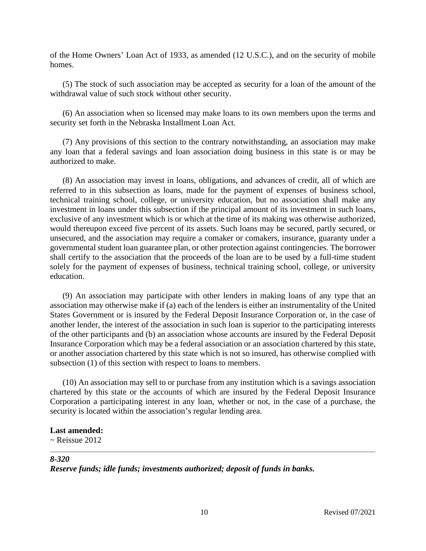of the Home Owners' Loan Act of 1933, as amended (12 U.S.C.), and on the security of mobile homes.

(5) The stock of such association may be accepted as security for a loan of the amount of the withdrawal value of such stock without other security.

(6) An association when so licensed may make loans to its own members upon the terms and security set forth in the Nebraska Installment Loan Act.

(7) Any provisions of this section to the contrary notwithstanding, an association may make any loan that a federal savings and loan association doing business in this state is or may be authorized to make.

(8) An association may invest in loans, obligations, and advances of credit, all of which are referred to in this subsection as loans, made for the payment of expenses of business school, technical training school, college, or university education, but no association shall make any investment in loans under this subsection if the principal amount of its investment in such loans, exclusive of any investment which is or which at the time of its making was otherwise authorized, would thereupon exceed five percent of its assets. Such loans may be secured, partly secured, or unsecured, and the association may require a comaker or comakers, insurance, guaranty under a governmental student loan guarantee plan, or other protection against contingencies. The borrower shall certify to the association that the proceeds of the loan are to be used by a full-time student solely for the payment of expenses of business, technical training school, college, or university education.

(9) An association may participate with other lenders in making loans of any type that an association may otherwise make if (a) each of the lenders is either an instrumentality of the United States Government or is insured by the Federal Deposit Insurance Corporation or, in the case of another lender, the interest of the association in such loan is superior to the participating interests of the other participants and (b) an association whose accounts are insured by the Federal Deposit Insurance Corporation which may be a federal association or an association chartered by this state, or another association chartered by this state which is not so insured, has otherwise complied with subsection (1) of this section with respect to loans to members.

(10) An association may sell to or purchase from any institution which is a savings association chartered by this state or the accounts of which are insured by the Federal Deposit Insurance Corporation a participating interest in any loan, whether or not, in the case of a purchase, the security is located within the association's regular lending area.

## **Last amended:**

 $\sim$  Reissue 2012

## *8-320*

*Reserve funds; idle funds; investments authorized; deposit of funds in banks.*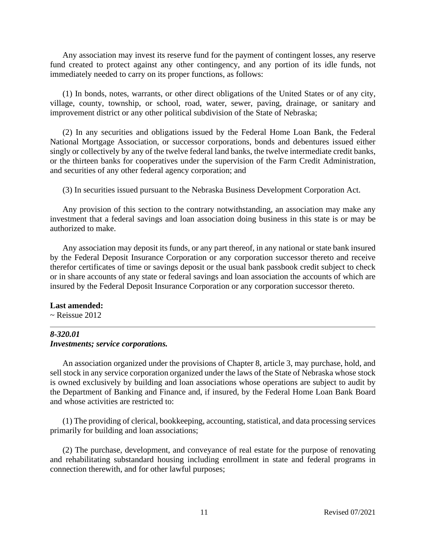Any association may invest its reserve fund for the payment of contingent losses, any reserve fund created to protect against any other contingency, and any portion of its idle funds, not immediately needed to carry on its proper functions, as follows:

(1) In bonds, notes, warrants, or other direct obligations of the United States or of any city, village, county, township, or school, road, water, sewer, paving, drainage, or sanitary and improvement district or any other political subdivision of the State of Nebraska;

(2) In any securities and obligations issued by the Federal Home Loan Bank, the Federal National Mortgage Association, or successor corporations, bonds and debentures issued either singly or collectively by any of the twelve federal land banks, the twelve intermediate credit banks, or the thirteen banks for cooperatives under the supervision of the Farm Credit Administration, and securities of any other federal agency corporation; and

(3) In securities issued pursuant to the Nebraska Business Development Corporation Act.

Any provision of this section to the contrary notwithstanding, an association may make any investment that a federal savings and loan association doing business in this state is or may be authorized to make.

Any association may deposit its funds, or any part thereof, in any national or state bank insured by the Federal Deposit Insurance Corporation or any corporation successor thereto and receive therefor certificates of time or savings deposit or the usual bank passbook credit subject to check or in share accounts of any state or federal savings and loan association the accounts of which are insured by the Federal Deposit Insurance Corporation or any corporation successor thereto.

#### **Last amended:**

 $\sim$  Reissue 2012

#### *8-320.01 Investments; service corporations.*

An association organized under the provisions of Chapter 8, article 3, may purchase, hold, and sell stock in any service corporation organized under the laws of the State of Nebraska whose stock is owned exclusively by building and loan associations whose operations are subject to audit by the Department of Banking and Finance and, if insured, by the Federal Home Loan Bank Board and whose activities are restricted to:

(1) The providing of clerical, bookkeeping, accounting, statistical, and data processing services primarily for building and loan associations;

(2) The purchase, development, and conveyance of real estate for the purpose of renovating and rehabilitating substandard housing including enrollment in state and federal programs in connection therewith, and for other lawful purposes;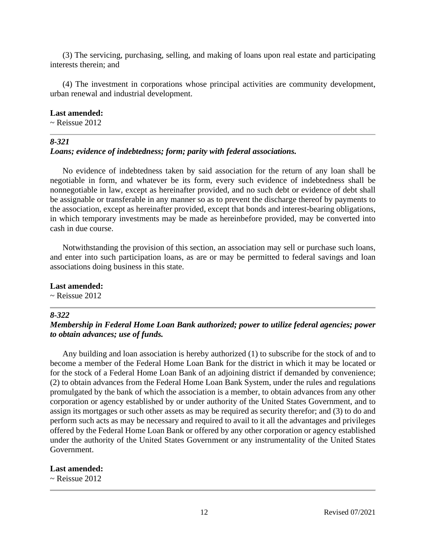(3) The servicing, purchasing, selling, and making of loans upon real estate and participating interests therein; and

(4) The investment in corporations whose principal activities are community development, urban renewal and industrial development.

#### **Last amended:**

 $\sim$  Reissue 2012

#### *8-321*

### *Loans; evidence of indebtedness; form; parity with federal associations.*

No evidence of indebtedness taken by said association for the return of any loan shall be negotiable in form, and whatever be its form, every such evidence of indebtedness shall be nonnegotiable in law, except as hereinafter provided, and no such debt or evidence of debt shall be assignable or transferable in any manner so as to prevent the discharge thereof by payments to the association, except as hereinafter provided, except that bonds and interest-bearing obligations, in which temporary investments may be made as hereinbefore provided, may be converted into cash in due course.

Notwithstanding the provision of this section, an association may sell or purchase such loans, and enter into such participation loans, as are or may be permitted to federal savings and loan associations doing business in this state.

#### **Last amended:**

 $\sim$  Reissue 2012

## *8-322*

## *Membership in Federal Home Loan Bank authorized; power to utilize federal agencies; power to obtain advances; use of funds.*

Any building and loan association is hereby authorized (1) to subscribe for the stock of and to become a member of the Federal Home Loan Bank for the district in which it may be located or for the stock of a Federal Home Loan Bank of an adjoining district if demanded by convenience; (2) to obtain advances from the Federal Home Loan Bank System, under the rules and regulations promulgated by the bank of which the association is a member, to obtain advances from any other corporation or agency established by or under authority of the United States Government, and to assign its mortgages or such other assets as may be required as security therefor; and (3) to do and perform such acts as may be necessary and required to avail to it all the advantages and privileges offered by the Federal Home Loan Bank or offered by any other corporation or agency established under the authority of the United States Government or any instrumentality of the United States Government.

#### **Last amended:**

 $\sim$  Reissue 2012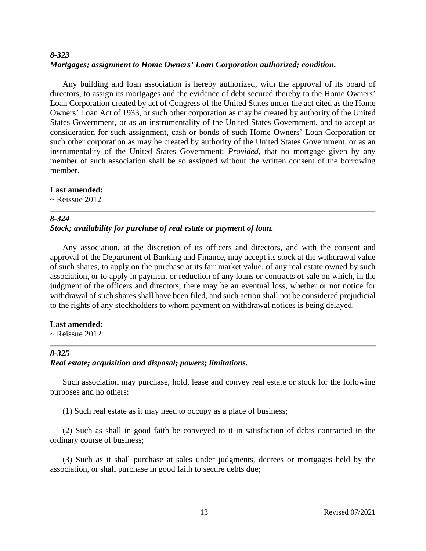## *8-323 Mortgages; assignment to Home Owners' Loan Corporation authorized; condition.*

Any building and loan association is hereby authorized, with the approval of its board of directors, to assign its mortgages and the evidence of debt secured thereby to the Home Owners' Loan Corporation created by act of Congress of the United States under the act cited as the Home Owners' Loan Act of 1933, or such other corporation as may be created by authority of the United States Government, or as an instrumentality of the United States Government, and to accept as consideration for such assignment, cash or bonds of such Home Owners' Loan Corporation or such other corporation as may be created by authority of the United States Government, or as an instrumentality of the United States Government; *Provided,* that no mortgage given by any member of such association shall be so assigned without the written consent of the borrowing member.

## **Last amended:**

 $\sim$  Reissue 2012

## *8-324*

## *Stock; availability for purchase of real estate or payment of loan.*

Any association, at the discretion of its officers and directors, and with the consent and approval of the Department of Banking and Finance, may accept its stock at the withdrawal value of such shares, to apply on the purchase at its fair market value, of any real estate owned by such association, or to apply in payment or reduction of any loans or contracts of sale on which, in the judgment of the officers and directors, there may be an eventual loss, whether or not notice for withdrawal of such shares shall have been filed, and such action shall not be considered prejudicial to the rights of any stockholders to whom payment on withdrawal notices is being delayed.

#### **Last amended:**

 $\sim$  Reissue 2012

#### *8-325*

## *Real estate; acquisition and disposal; powers; limitations.*

Such association may purchase, hold, lease and convey real estate or stock for the following purposes and no others:

(1) Such real estate as it may need to occupy as a place of business;

(2) Such as shall in good faith be conveyed to it in satisfaction of debts contracted in the ordinary course of business;

(3) Such as it shall purchase at sales under judgments, decrees or mortgages held by the association, or shall purchase in good faith to secure debts due;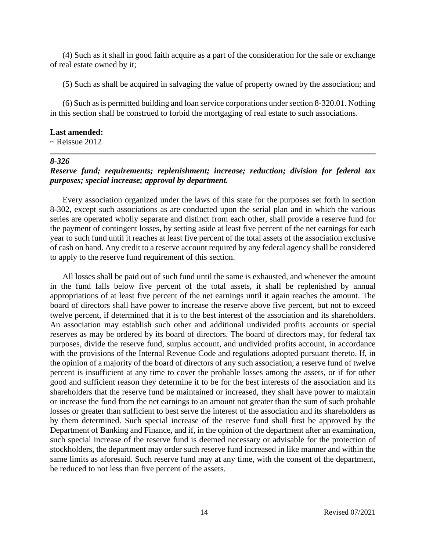(4) Such as it shall in good faith acquire as a part of the consideration for the sale or exchange of real estate owned by it;

(5) Such as shall be acquired in salvaging the value of property owned by the association; and

(6) Such as is permitted building and loan service corporations under section 8-320.01. Nothing in this section shall be construed to forbid the mortgaging of real estate to such associations.

#### **Last amended:**

 $\sim$  Reissue 2012

#### *8-326*

## *Reserve fund; requirements; replenishment; increase; reduction; division for federal tax purposes; special increase; approval by department.*

Every association organized under the laws of this state for the purposes set forth in section 8-302, except such associations as are conducted upon the serial plan and in which the various series are operated wholly separate and distinct from each other, shall provide a reserve fund for the payment of contingent losses, by setting aside at least five percent of the net earnings for each year to such fund until it reaches at least five percent of the total assets of the association exclusive of cash on hand. Any credit to a reserve account required by any federal agency shall be considered to apply to the reserve fund requirement of this section.

All losses shall be paid out of such fund until the same is exhausted, and whenever the amount in the fund falls below five percent of the total assets, it shall be replenished by annual appropriations of at least five percent of the net earnings until it again reaches the amount. The board of directors shall have power to increase the reserve above five percent, but not to exceed twelve percent, if determined that it is to the best interest of the association and its shareholders. An association may establish such other and additional undivided profits accounts or special reserves as may be ordered by its board of directors. The board of directors may, for federal tax purposes, divide the reserve fund, surplus account, and undivided profits account, in accordance with the provisions of the Internal Revenue Code and regulations adopted pursuant thereto. If, in the opinion of a majority of the board of directors of any such association, a reserve fund of twelve percent is insufficient at any time to cover the probable losses among the assets, or if for other good and sufficient reason they determine it to be for the best interests of the association and its shareholders that the reserve fund be maintained or increased, they shall have power to maintain or increase the fund from the net earnings to an amount not greater than the sum of such probable losses or greater than sufficient to best serve the interest of the association and its shareholders as by them determined. Such special increase of the reserve fund shall first be approved by the Department of Banking and Finance, and if, in the opinion of the department after an examination, such special increase of the reserve fund is deemed necessary or advisable for the protection of stockholders, the department may order such reserve fund increased in like manner and within the same limits as aforesaid. Such reserve fund may at any time, with the consent of the department, be reduced to not less than five percent of the assets.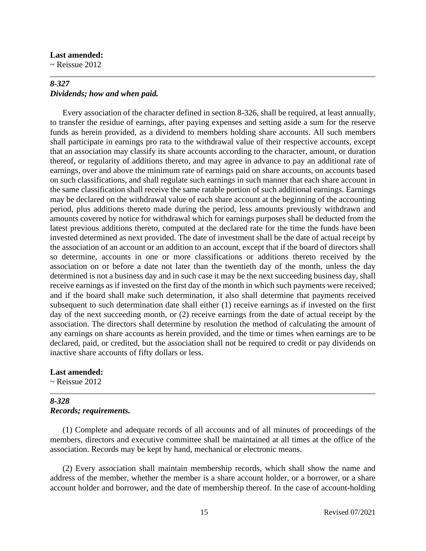#### **Last amended:**

 $\sim$  Reissue 2012

## *8-327 Dividends; how and when paid.*

Every association of the character defined in section 8-326, shall be required, at least annually, to transfer the residue of earnings, after paying expenses and setting aside a sum for the reserve funds as herein provided, as a dividend to members holding share accounts. All such members shall participate in earnings pro rata to the withdrawal value of their respective accounts, except that an association may classify its share accounts according to the character, amount, or duration thereof, or regularity of additions thereto, and may agree in advance to pay an additional rate of earnings, over and above the minimum rate of earnings paid on share accounts, on accounts based on such classifications, and shall regulate such earnings in such manner that each share account in the same classification shall receive the same ratable portion of such additional earnings. Earnings may be declared on the withdrawal value of each share account at the beginning of the accounting period, plus additions thereto made during the period, less amounts previously withdrawn and amounts covered by notice for withdrawal which for earnings purposes shall be deducted from the latest previous additions thereto, computed at the declared rate for the time the funds have been invested determined as next provided. The date of investment shall be the date of actual receipt by the association of an account or an addition to an account, except that if the board of directors shall so determine, accounts in one or more classifications or additions thereto received by the association on or before a date not later than the twentieth day of the month, unless the day determined is not a business day and in such case it may be the next succeeding business day, shall receive earnings as if invested on the first day of the month in which such payments were received; and if the board shall make such determination, it also shall determine that payments received subsequent to such determination date shall either (1) receive earnings as if invested on the first day of the next succeeding month, or (2) receive earnings from the date of actual receipt by the association. The directors shall determine by resolution the method of calculating the amount of any earnings on share accounts as herein provided, and the time or times when earnings are to be declared, paid, or credited, but the association shall not be required to credit or pay dividends on inactive share accounts of fifty dollars or less.

#### **Last amended:**

 $\sim$  Reissue 2012

## *8-328 Records; requirements.*

(1) Complete and adequate records of all accounts and of all minutes of proceedings of the members, directors and executive committee shall be maintained at all times at the office of the association. Records may be kept by hand, mechanical or electronic means.

(2) Every association shall maintain membership records, which shall show the name and address of the member, whether the member is a share account holder, or a borrower, or a share account holder and borrower, and the date of membership thereof. In the case of account-holding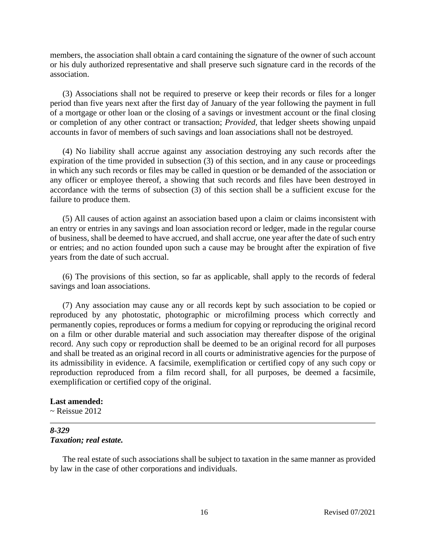members, the association shall obtain a card containing the signature of the owner of such account or his duly authorized representative and shall preserve such signature card in the records of the association.

(3) Associations shall not be required to preserve or keep their records or files for a longer period than five years next after the first day of January of the year following the payment in full of a mortgage or other loan or the closing of a savings or investment account or the final closing or completion of any other contract or transaction; *Provided,* that ledger sheets showing unpaid accounts in favor of members of such savings and loan associations shall not be destroyed.

(4) No liability shall accrue against any association destroying any such records after the expiration of the time provided in subsection (3) of this section, and in any cause or proceedings in which any such records or files may be called in question or be demanded of the association or any officer or employee thereof, a showing that such records and files have been destroyed in accordance with the terms of subsection (3) of this section shall be a sufficient excuse for the failure to produce them.

(5) All causes of action against an association based upon a claim or claims inconsistent with an entry or entries in any savings and loan association record or ledger, made in the regular course of business, shall be deemed to have accrued, and shall accrue, one year after the date of such entry or entries; and no action founded upon such a cause may be brought after the expiration of five years from the date of such accrual.

(6) The provisions of this section, so far as applicable, shall apply to the records of federal savings and loan associations.

(7) Any association may cause any or all records kept by such association to be copied or reproduced by any photostatic, photographic or microfilming process which correctly and permanently copies, reproduces or forms a medium for copying or reproducing the original record on a film or other durable material and such association may thereafter dispose of the original record. Any such copy or reproduction shall be deemed to be an original record for all purposes and shall be treated as an original record in all courts or administrative agencies for the purpose of its admissibility in evidence. A facsimile, exemplification or certified copy of any such copy or reproduction reproduced from a film record shall, for all purposes, be deemed a facsimile, exemplification or certified copy of the original.

#### **Last amended:**

 $\sim$  Reissue 2012

#### *8-329 Taxation; real estate.*

The real estate of such associations shall be subject to taxation in the same manner as provided by law in the case of other corporations and individuals.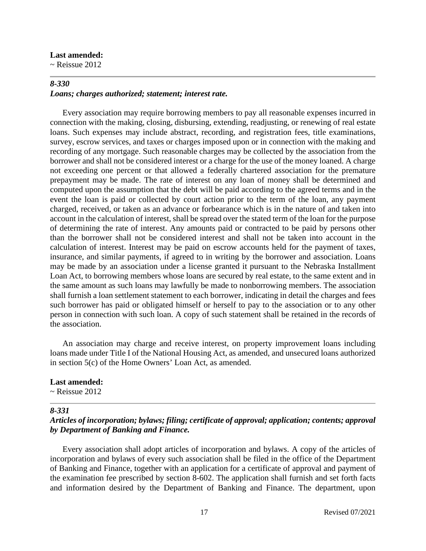#### **Last amended:**

 $\sim$  Reissue 2012

### *8-330 Loans; charges authorized; statement; interest rate.*

Every association may require borrowing members to pay all reasonable expenses incurred in connection with the making, closing, disbursing, extending, readjusting, or renewing of real estate loans. Such expenses may include abstract, recording, and registration fees, title examinations, survey, escrow services, and taxes or charges imposed upon or in connection with the making and recording of any mortgage. Such reasonable charges may be collected by the association from the borrower and shall not be considered interest or a charge for the use of the money loaned. A charge not exceeding one percent or that allowed a federally chartered association for the premature prepayment may be made. The rate of interest on any loan of money shall be determined and computed upon the assumption that the debt will be paid according to the agreed terms and in the event the loan is paid or collected by court action prior to the term of the loan, any payment charged, received, or taken as an advance or forbearance which is in the nature of and taken into account in the calculation of interest, shall be spread over the stated term of the loan for the purpose of determining the rate of interest. Any amounts paid or contracted to be paid by persons other than the borrower shall not be considered interest and shall not be taken into account in the calculation of interest. Interest may be paid on escrow accounts held for the payment of taxes, insurance, and similar payments, if agreed to in writing by the borrower and association. Loans may be made by an association under a license granted it pursuant to the Nebraska Installment Loan Act, to borrowing members whose loans are secured by real estate, to the same extent and in the same amount as such loans may lawfully be made to nonborrowing members. The association shall furnish a loan settlement statement to each borrower, indicating in detail the charges and fees such borrower has paid or obligated himself or herself to pay to the association or to any other person in connection with such loan. A copy of such statement shall be retained in the records of the association.

An association may charge and receive interest, on property improvement loans including loans made under Title I of the National Housing Act, as amended, and unsecured loans authorized in section 5(c) of the Home Owners' Loan Act, as amended.

#### **Last amended:**

 $\sim$  Reissue 2012

#### *8-331*

## *Articles of incorporation; bylaws; filing; certificate of approval; application; contents; approval by Department of Banking and Finance.*

Every association shall adopt articles of incorporation and bylaws. A copy of the articles of incorporation and bylaws of every such association shall be filed in the office of the Department of Banking and Finance, together with an application for a certificate of approval and payment of the examination fee prescribed by section 8-602. The application shall furnish and set forth facts and information desired by the Department of Banking and Finance. The department, upon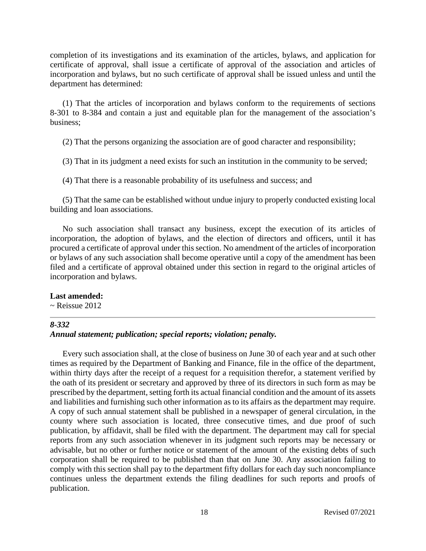completion of its investigations and its examination of the articles, bylaws, and application for certificate of approval, shall issue a certificate of approval of the association and articles of incorporation and bylaws, but no such certificate of approval shall be issued unless and until the department has determined:

(1) That the articles of incorporation and bylaws conform to the requirements of sections 8-301 to 8-384 and contain a just and equitable plan for the management of the association's business;

(2) That the persons organizing the association are of good character and responsibility;

(3) That in its judgment a need exists for such an institution in the community to be served;

(4) That there is a reasonable probability of its usefulness and success; and

(5) That the same can be established without undue injury to properly conducted existing local building and loan associations.

No such association shall transact any business, except the execution of its articles of incorporation, the adoption of bylaws, and the election of directors and officers, until it has procured a certificate of approval under this section. No amendment of the articles of incorporation or bylaws of any such association shall become operative until a copy of the amendment has been filed and a certificate of approval obtained under this section in regard to the original articles of incorporation and bylaws.

#### **Last amended:**

 $\sim$  Reissue 2012

#### *8-332*

## *Annual statement; publication; special reports; violation; penalty.*

Every such association shall, at the close of business on June 30 of each year and at such other times as required by the Department of Banking and Finance, file in the office of the department, within thirty days after the receipt of a request for a requisition therefor, a statement verified by the oath of its president or secretary and approved by three of its directors in such form as may be prescribed by the department, setting forth its actual financial condition and the amount of its assets and liabilities and furnishing such other information as to its affairs as the department may require. A copy of such annual statement shall be published in a newspaper of general circulation, in the county where such association is located, three consecutive times, and due proof of such publication, by affidavit, shall be filed with the department. The department may call for special reports from any such association whenever in its judgment such reports may be necessary or advisable, but no other or further notice or statement of the amount of the existing debts of such corporation shall be required to be published than that on June 30. Any association failing to comply with this section shall pay to the department fifty dollars for each day such noncompliance continues unless the department extends the filing deadlines for such reports and proofs of publication.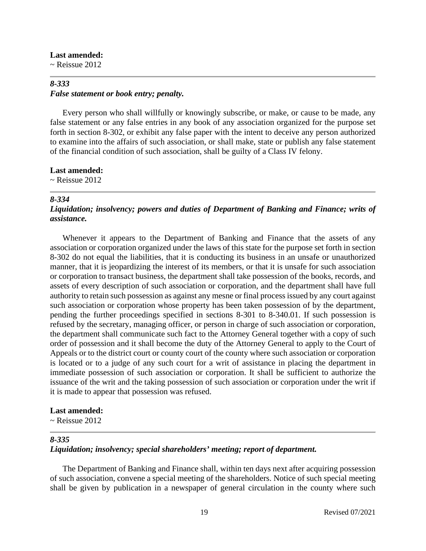#### **Last amended:**

 $\sim$  Reissue 2012

## *8-333 False statement or book entry; penalty.*

Every person who shall willfully or knowingly subscribe, or make, or cause to be made, any false statement or any false entries in any book of any association organized for the purpose set forth in section 8-302, or exhibit any false paper with the intent to deceive any person authorized to examine into the affairs of such association, or shall make, state or publish any false statement of the financial condition of such association, shall be guilty of a Class IV felony.

#### **Last amended:**

 $\sim$  Reissue 2012

#### *8-334*

## *Liquidation; insolvency; powers and duties of Department of Banking and Finance; writs of assistance.*

Whenever it appears to the Department of Banking and Finance that the assets of any association or corporation organized under the laws of this state for the purpose set forth in section 8-302 do not equal the liabilities, that it is conducting its business in an unsafe or unauthorized manner, that it is jeopardizing the interest of its members, or that it is unsafe for such association or corporation to transact business, the department shall take possession of the books, records, and assets of every description of such association or corporation, and the department shall have full authority to retain such possession as against any mesne or final process issued by any court against such association or corporation whose property has been taken possession of by the department, pending the further proceedings specified in sections 8-301 to 8-340.01. If such possession is refused by the secretary, managing officer, or person in charge of such association or corporation, the department shall communicate such fact to the Attorney General together with a copy of such order of possession and it shall become the duty of the Attorney General to apply to the Court of Appeals or to the district court or county court of the county where such association or corporation is located or to a judge of any such court for a writ of assistance in placing the department in immediate possession of such association or corporation. It shall be sufficient to authorize the issuance of the writ and the taking possession of such association or corporation under the writ if it is made to appear that possession was refused.

#### **Last amended:**

 $\sim$  Reissue 2012

#### *8-335*

## *Liquidation; insolvency; special shareholders' meeting; report of department.*

The Department of Banking and Finance shall, within ten days next after acquiring possession of such association, convene a special meeting of the shareholders. Notice of such special meeting shall be given by publication in a newspaper of general circulation in the county where such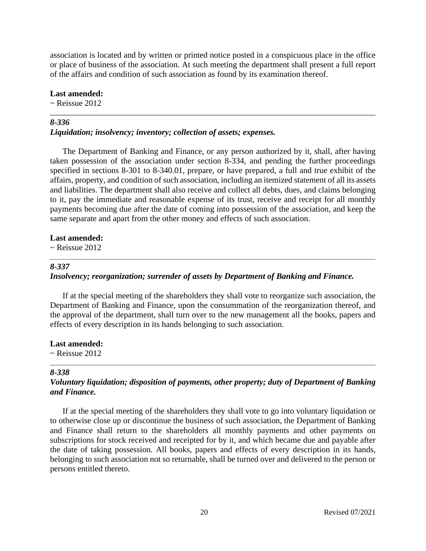association is located and by written or printed notice posted in a conspicuous place in the office or place of business of the association. At such meeting the department shall present a full report of the affairs and condition of such association as found by its examination thereof.

#### **Last amended:**

 $\sim$  Reissue 2012

#### *8-336*

#### *Liquidation; insolvency; inventory; collection of assets; expenses.*

The Department of Banking and Finance, or any person authorized by it, shall, after having taken possession of the association under section 8-334, and pending the further proceedings specified in sections 8-301 to 8-340.01, prepare, or have prepared, a full and true exhibit of the affairs, property, and condition of such association, including an itemized statement of all its assets and liabilities. The department shall also receive and collect all debts, dues, and claims belonging to it, pay the immediate and reasonable expense of its trust, receive and receipt for all monthly payments becoming due after the date of coming into possession of the association, and keep the same separate and apart from the other money and effects of such association.

#### **Last amended:**

 $\sim$  Reissue 2012

#### *8-337*

#### *Insolvency; reorganization; surrender of assets by Department of Banking and Finance.*

If at the special meeting of the shareholders they shall vote to reorganize such association, the Department of Banking and Finance, upon the consummation of the reorganization thereof, and the approval of the department, shall turn over to the new management all the books, papers and effects of every description in its hands belonging to such association.

## **Last amended:**

 $\sim$  Reissue 2012

#### *8-338*

## *Voluntary liquidation; disposition of payments, other property; duty of Department of Banking and Finance.*

If at the special meeting of the shareholders they shall vote to go into voluntary liquidation or to otherwise close up or discontinue the business of such association, the Department of Banking and Finance shall return to the shareholders all monthly payments and other payments on subscriptions for stock received and receipted for by it, and which became due and payable after the date of taking possession. All books, papers and effects of every description in its hands, belonging to such association not so returnable, shall be turned over and delivered to the person or persons entitled thereto.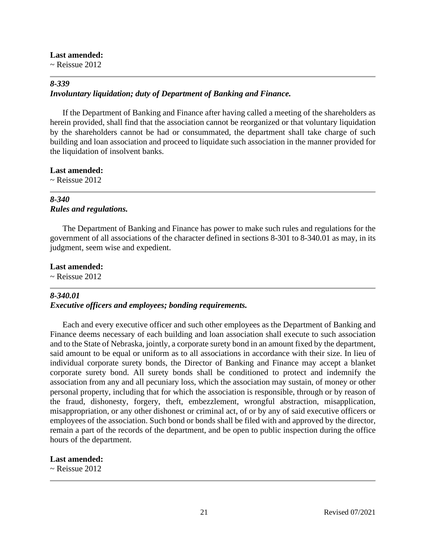## **Last amended:**

 $\sim$  Reissue 2012

## *8-339*

## *Involuntary liquidation; duty of Department of Banking and Finance.*

If the Department of Banking and Finance after having called a meeting of the shareholders as herein provided, shall find that the association cannot be reorganized or that voluntary liquidation by the shareholders cannot be had or consummated, the department shall take charge of such building and loan association and proceed to liquidate such association in the manner provided for the liquidation of insolvent banks.

**Last amended:**

 $\sim$  Reissue 2012

## *8-340 Rules and regulations.*

The Department of Banking and Finance has power to make such rules and regulations for the government of all associations of the character defined in sections 8-301 to 8-340.01 as may, in its judgment, seem wise and expedient.

### **Last amended:**

 $\sim$  Reissue 2012

## *8-340.01*

## *Executive officers and employees; bonding requirements.*

Each and every executive officer and such other employees as the Department of Banking and Finance deems necessary of each building and loan association shall execute to such association and to the State of Nebraska, jointly, a corporate surety bond in an amount fixed by the department, said amount to be equal or uniform as to all associations in accordance with their size. In lieu of individual corporate surety bonds, the Director of Banking and Finance may accept a blanket corporate surety bond. All surety bonds shall be conditioned to protect and indemnify the association from any and all pecuniary loss, which the association may sustain, of money or other personal property, including that for which the association is responsible, through or by reason of the fraud, dishonesty, forgery, theft, embezzlement, wrongful abstraction, misapplication, misappropriation, or any other dishonest or criminal act, of or by any of said executive officers or employees of the association. Such bond or bonds shall be filed with and approved by the director, remain a part of the records of the department, and be open to public inspection during the office hours of the department.

## **Last amended:**

 $\sim$  Reissue 2012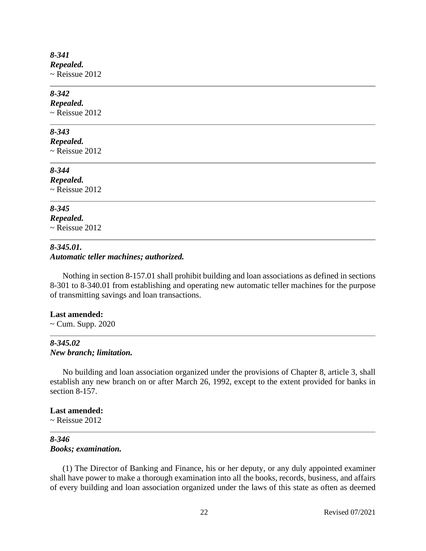### *8-341 Repealed.*  $\sim$  Reissue 2012

## *8-342*

*Repealed.*  $\sim$  Reissue 2012

## *8-343*

*Repealed.*

 $\sim$  Reissue 2012

## *8-344*

*Repealed.*  $\sim$  Reissue 2012

## *8-345*

*Repealed.*  $\sim$  Reissue 2012

#### *8-345.01. Automatic teller machines; authorized.*

Nothing in section 8-157.01 shall prohibit building and loan associations as defined in sections 8-301 to 8-340.01 from establishing and operating new automatic teller machines for the purpose of transmitting savings and loan transactions.

#### **Last amended:**

~ Cum. Supp. 2020

#### *8-345.02 New branch; limitation.*

No building and loan association organized under the provisions of Chapter 8, article 3, shall establish any new branch on or after March 26, 1992, except to the extent provided for banks in section 8-157.

### **Last amended:**

 $\sim$  Reissue 2012

### *8-346 Books; examination.*

(1) The Director of Banking and Finance, his or her deputy, or any duly appointed examiner shall have power to make a thorough examination into all the books, records, business, and affairs of every building and loan association organized under the laws of this state as often as deemed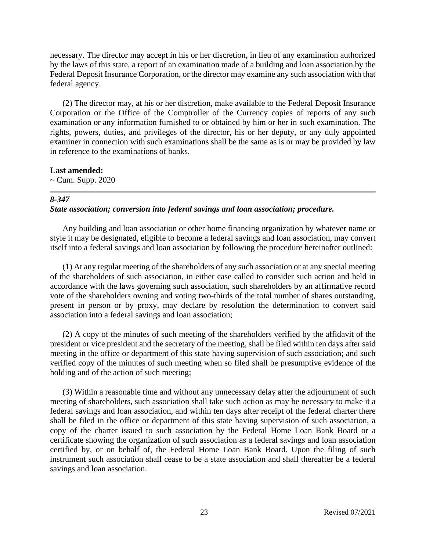necessary. The director may accept in his or her discretion, in lieu of any examination authorized by the laws of this state, a report of an examination made of a building and loan association by the Federal Deposit Insurance Corporation, or the director may examine any such association with that federal agency.

(2) The director may, at his or her discretion, make available to the Federal Deposit Insurance Corporation or the Office of the Comptroller of the Currency copies of reports of any such examination or any information furnished to or obtained by him or her in such examination. The rights, powers, duties, and privileges of the director, his or her deputy, or any duly appointed examiner in connection with such examinations shall be the same as is or may be provided by law in reference to the examinations of banks.

#### **Last amended:**

 $\sim$  Cum. Supp. 2020

#### *8-347*

#### *State association; conversion into federal savings and loan association; procedure.*

Any building and loan association or other home financing organization by whatever name or style it may be designated, eligible to become a federal savings and loan association, may convert itself into a federal savings and loan association by following the procedure hereinafter outlined:

(1) At any regular meeting of the shareholders of any such association or at any special meeting of the shareholders of such association, in either case called to consider such action and held in accordance with the laws governing such association, such shareholders by an affirmative record vote of the shareholders owning and voting two-thirds of the total number of shares outstanding, present in person or by proxy, may declare by resolution the determination to convert said association into a federal savings and loan association;

(2) A copy of the minutes of such meeting of the shareholders verified by the affidavit of the president or vice president and the secretary of the meeting, shall be filed within ten days after said meeting in the office or department of this state having supervision of such association; and such verified copy of the minutes of such meeting when so filed shall be presumptive evidence of the holding and of the action of such meeting;

(3) Within a reasonable time and without any unnecessary delay after the adjournment of such meeting of shareholders, such association shall take such action as may be necessary to make it a federal savings and loan association, and within ten days after receipt of the federal charter there shall be filed in the office or department of this state having supervision of such association, a copy of the charter issued to such association by the Federal Home Loan Bank Board or a certificate showing the organization of such association as a federal savings and loan association certified by, or on behalf of, the Federal Home Loan Bank Board. Upon the filing of such instrument such association shall cease to be a state association and shall thereafter be a federal savings and loan association.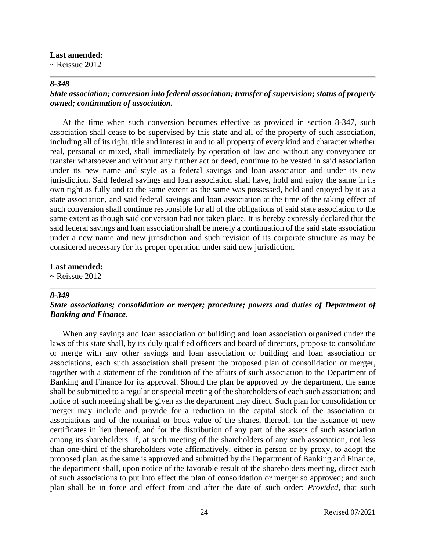#### **Last amended:**

 $\sim$  Reissue 2012

#### *8-348*

## *State association; conversion into federal association; transfer of supervision; status of property owned; continuation of association.*

At the time when such conversion becomes effective as provided in section 8-347, such association shall cease to be supervised by this state and all of the property of such association, including all of its right, title and interest in and to all property of every kind and character whether real, personal or mixed, shall immediately by operation of law and without any conveyance or transfer whatsoever and without any further act or deed, continue to be vested in said association under its new name and style as a federal savings and loan association and under its new jurisdiction. Said federal savings and loan association shall have, hold and enjoy the same in its own right as fully and to the same extent as the same was possessed, held and enjoyed by it as a state association, and said federal savings and loan association at the time of the taking effect of such conversion shall continue responsible for all of the obligations of said state association to the same extent as though said conversion had not taken place. It is hereby expressly declared that the said federal savings and loan association shall be merely a continuation of the said state association under a new name and new jurisdiction and such revision of its corporate structure as may be considered necessary for its proper operation under said new jurisdiction.

#### **Last amended:**

~ Reissue 2012

#### *8-349*

## *State associations; consolidation or merger; procedure; powers and duties of Department of Banking and Finance.*

When any savings and loan association or building and loan association organized under the laws of this state shall, by its duly qualified officers and board of directors, propose to consolidate or merge with any other savings and loan association or building and loan association or associations, each such association shall present the proposed plan of consolidation or merger, together with a statement of the condition of the affairs of such association to the Department of Banking and Finance for its approval. Should the plan be approved by the department, the same shall be submitted to a regular or special meeting of the shareholders of each such association; and notice of such meeting shall be given as the department may direct. Such plan for consolidation or merger may include and provide for a reduction in the capital stock of the association or associations and of the nominal or book value of the shares, thereof, for the issuance of new certificates in lieu thereof, and for the distribution of any part of the assets of such association among its shareholders. If, at such meeting of the shareholders of any such association, not less than one-third of the shareholders vote affirmatively, either in person or by proxy, to adopt the proposed plan, as the same is approved and submitted by the Department of Banking and Finance, the department shall, upon notice of the favorable result of the shareholders meeting, direct each of such associations to put into effect the plan of consolidation or merger so approved; and such plan shall be in force and effect from and after the date of such order; *Provided,* that such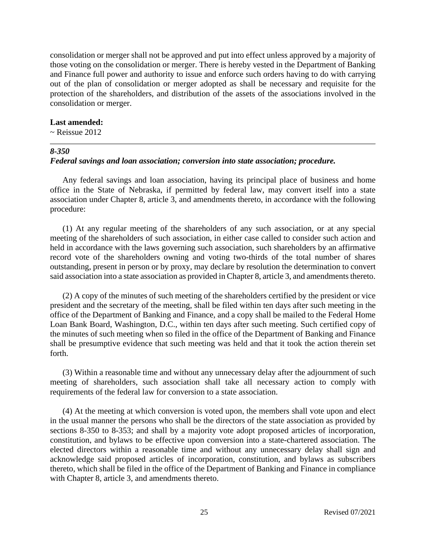consolidation or merger shall not be approved and put into effect unless approved by a majority of those voting on the consolidation or merger. There is hereby vested in the Department of Banking and Finance full power and authority to issue and enforce such orders having to do with carrying out of the plan of consolidation or merger adopted as shall be necessary and requisite for the protection of the shareholders, and distribution of the assets of the associations involved in the consolidation or merger.

#### **Last amended:**

 $\sim$  Reissue 2012

#### *8-350*

#### *Federal savings and loan association; conversion into state association; procedure.*

Any federal savings and loan association, having its principal place of business and home office in the State of Nebraska, if permitted by federal law, may convert itself into a state association under Chapter 8, article 3, and amendments thereto, in accordance with the following procedure:

(1) At any regular meeting of the shareholders of any such association, or at any special meeting of the shareholders of such association, in either case called to consider such action and held in accordance with the laws governing such association, such shareholders by an affirmative record vote of the shareholders owning and voting two-thirds of the total number of shares outstanding, present in person or by proxy, may declare by resolution the determination to convert said association into a state association as provided in Chapter 8, article 3, and amendments thereto.

(2) A copy of the minutes of such meeting of the shareholders certified by the president or vice president and the secretary of the meeting, shall be filed within ten days after such meeting in the office of the Department of Banking and Finance, and a copy shall be mailed to the Federal Home Loan Bank Board, Washington, D.C., within ten days after such meeting. Such certified copy of the minutes of such meeting when so filed in the office of the Department of Banking and Finance shall be presumptive evidence that such meeting was held and that it took the action therein set forth.

(3) Within a reasonable time and without any unnecessary delay after the adjournment of such meeting of shareholders, such association shall take all necessary action to comply with requirements of the federal law for conversion to a state association.

(4) At the meeting at which conversion is voted upon, the members shall vote upon and elect in the usual manner the persons who shall be the directors of the state association as provided by sections 8-350 to 8-353; and shall by a majority vote adopt proposed articles of incorporation, constitution, and bylaws to be effective upon conversion into a state-chartered association. The elected directors within a reasonable time and without any unnecessary delay shall sign and acknowledge said proposed articles of incorporation, constitution, and bylaws as subscribers thereto, which shall be filed in the office of the Department of Banking and Finance in compliance with Chapter 8, article 3, and amendments thereto.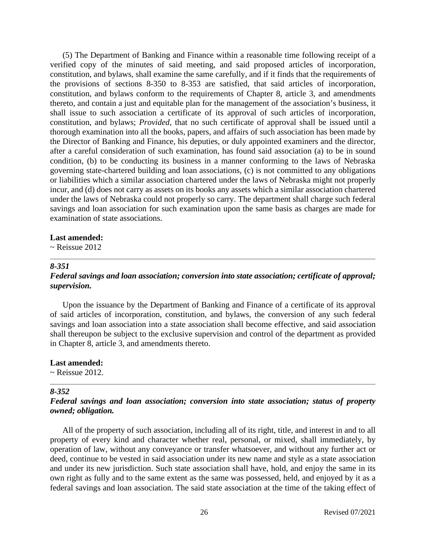(5) The Department of Banking and Finance within a reasonable time following receipt of a verified copy of the minutes of said meeting, and said proposed articles of incorporation, constitution, and bylaws, shall examine the same carefully, and if it finds that the requirements of the provisions of sections 8-350 to 8-353 are satisfied, that said articles of incorporation, constitution, and bylaws conform to the requirements of Chapter 8, article 3, and amendments thereto, and contain a just and equitable plan for the management of the association's business, it shall issue to such association a certificate of its approval of such articles of incorporation, constitution, and bylaws; *Provided,* that no such certificate of approval shall be issued until a thorough examination into all the books, papers, and affairs of such association has been made by the Director of Banking and Finance, his deputies, or duly appointed examiners and the director, after a careful consideration of such examination, has found said association (a) to be in sound condition, (b) to be conducting its business in a manner conforming to the laws of Nebraska governing state-chartered building and loan associations, (c) is not committed to any obligations or liabilities which a similar association chartered under the laws of Nebraska might not properly incur, and (d) does not carry as assets on its books any assets which a similar association chartered under the laws of Nebraska could not properly so carry. The department shall charge such federal savings and loan association for such examination upon the same basis as charges are made for examination of state associations.

#### **Last amended:**

 $\sim$  Reissue 2012

#### *8-351*

## *Federal savings and loan association; conversion into state association; certificate of approval; supervision.*

Upon the issuance by the Department of Banking and Finance of a certificate of its approval of said articles of incorporation, constitution, and bylaws, the conversion of any such federal savings and loan association into a state association shall become effective, and said association shall thereupon be subject to the exclusive supervision and control of the department as provided in Chapter 8, article 3, and amendments thereto.

**Last amended:**

 $\sim$  Reissue 2012.

## *8-352*

### *Federal savings and loan association; conversion into state association; status of property owned; obligation.*

All of the property of such association, including all of its right, title, and interest in and to all property of every kind and character whether real, personal, or mixed, shall immediately, by operation of law, without any conveyance or transfer whatsoever, and without any further act or deed, continue to be vested in said association under its new name and style as a state association and under its new jurisdiction. Such state association shall have, hold, and enjoy the same in its own right as fully and to the same extent as the same was possessed, held, and enjoyed by it as a federal savings and loan association. The said state association at the time of the taking effect of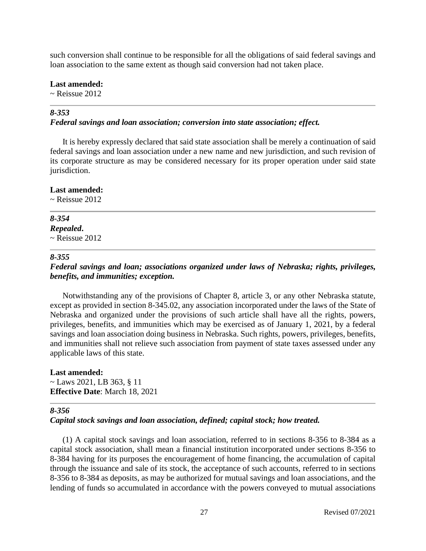such conversion shall continue to be responsible for all the obligations of said federal savings and loan association to the same extent as though said conversion had not taken place.

**Last amended:**

 $\sim$  Reissue 2012

# *8-353*

### *Federal savings and loan association; conversion into state association; effect.*

It is hereby expressly declared that said state association shall be merely a continuation of said federal savings and loan association under a new name and new jurisdiction, and such revision of its corporate structure as may be considered necessary for its proper operation under said state jurisdiction.

### **Last amended:**

 $\sim$  Reissue 2012

## *8-354*

*Repealed***.**  $\sim$  Reissue 2012

## *8-355*

## *Federal savings and loan; associations organized under laws of Nebraska; rights, privileges, benefits, and immunities; exception.*

Notwithstanding any of the provisions of Chapter 8, article 3, or any other Nebraska statute, except as provided in section 8-345.02, any association incorporated under the laws of the State of Nebraska and organized under the provisions of such article shall have all the rights, powers, privileges, benefits, and immunities which may be exercised as of January 1, 2021, by a federal savings and loan association doing business in Nebraska. Such rights, powers, privileges, benefits, and immunities shall not relieve such association from payment of state taxes assessed under any applicable laws of this state.

#### **Last amended:**  $\sim$  Laws 2021, LB 363, § 11 **Effective Date**: March 18, 2021

## *8-356*

## *Capital stock savings and loan association, defined; capital stock; how treated.*

(1) A capital stock savings and loan association, referred to in sections 8-356 to 8-384 as a capital stock association, shall mean a financial institution incorporated under sections 8-356 to 8-384 having for its purposes the encouragement of home financing, the accumulation of capital through the issuance and sale of its stock, the acceptance of such accounts, referred to in sections 8-356 to 8-384 as deposits, as may be authorized for mutual savings and loan associations, and the lending of funds so accumulated in accordance with the powers conveyed to mutual associations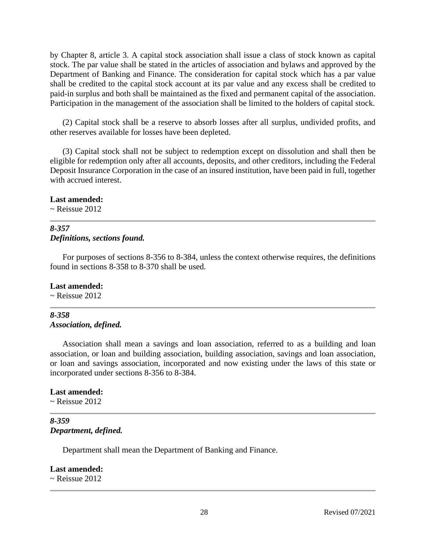by Chapter 8, article 3. A capital stock association shall issue a class of stock known as capital stock. The par value shall be stated in the articles of association and bylaws and approved by the Department of Banking and Finance. The consideration for capital stock which has a par value shall be credited to the capital stock account at its par value and any excess shall be credited to paid-in surplus and both shall be maintained as the fixed and permanent capital of the association. Participation in the management of the association shall be limited to the holders of capital stock.

(2) Capital stock shall be a reserve to absorb losses after all surplus, undivided profits, and other reserves available for losses have been depleted.

(3) Capital stock shall not be subject to redemption except on dissolution and shall then be eligible for redemption only after all accounts, deposits, and other creditors, including the Federal Deposit Insurance Corporation in the case of an insured institution, have been paid in full, together with accrued interest.

#### **Last amended:**

 $\sim$  Reissue 2012

## *8-357 Definitions, sections found.*

For purposes of sections 8-356 to 8-384, unless the context otherwise requires, the definitions found in sections 8-358 to 8-370 shall be used.

## **Last amended:**

 $\sim$  Reissue 2012

### *8-358 Association, defined.*

Association shall mean a savings and loan association, referred to as a building and loan association, or loan and building association, building association, savings and loan association, or loan and savings association, incorporated and now existing under the laws of this state or incorporated under sections 8-356 to 8-384.

#### **Last amended:**

 $\sim$  Reissue 2012

### *8-359 Department, defined.*

Department shall mean the Department of Banking and Finance.

#### **Last amended:**

 $\sim$  Reissue 2012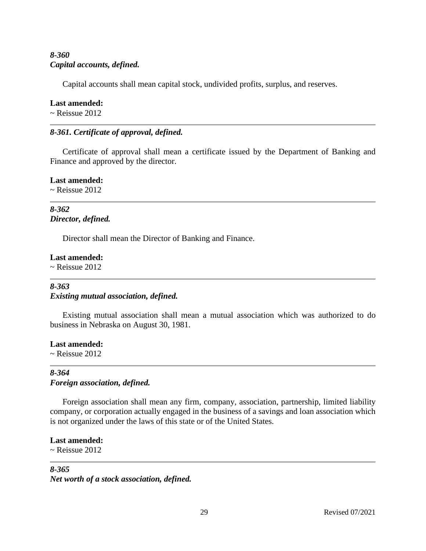## *8-360 Capital accounts, defined.*

Capital accounts shall mean capital stock, undivided profits, surplus, and reserves.

## **Last amended:**

 $\sim$  Reissue 2012

## *8-361. Certificate of approval, defined.*

Certificate of approval shall mean a certificate issued by the Department of Banking and Finance and approved by the director.

**Last amended:**

 $\sim$  Reissue 2012

## *8-362 Director, defined.*

Director shall mean the Director of Banking and Finance.

## **Last amended:**

 $\sim$  Reissue 2012

## *8-363 Existing mutual association, defined.*

Existing mutual association shall mean a mutual association which was authorized to do business in Nebraska on August 30, 1981.

# **Last amended:**

 $\sim$  Reissue 2012

## *8-364 Foreign association, defined.*

Foreign association shall mean any firm, company, association, partnership, limited liability company, or corporation actually engaged in the business of a savings and loan association which is not organized under the laws of this state or of the United States.

## **Last amended:**

 $\sim$  Reissue 2012

## *8-365*

*Net worth of a stock association, defined.*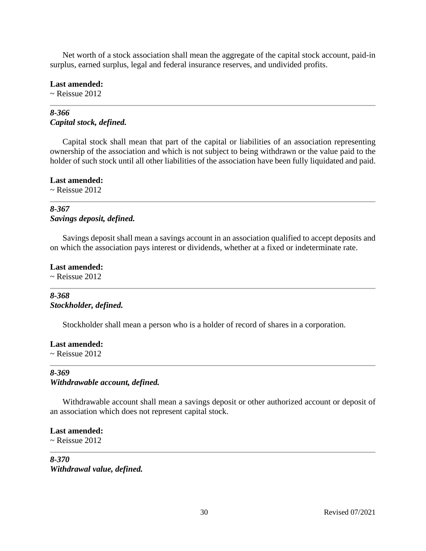Net worth of a stock association shall mean the aggregate of the capital stock account, paid-in surplus, earned surplus, legal and federal insurance reserves, and undivided profits.

#### **Last amended:**

 $\sim$  Reissue 2012

## *8-366 Capital stock, defined.*

Capital stock shall mean that part of the capital or liabilities of an association representing ownership of the association and which is not subject to being withdrawn or the value paid to the holder of such stock until all other liabilities of the association have been fully liquidated and paid.

**Last amended:**

 $\sim$  Reissue 2012

## *8-367 Savings deposit, defined.*

Savings deposit shall mean a savings account in an association qualified to accept deposits and on which the association pays interest or dividends, whether at a fixed or indeterminate rate.

### **Last amended:**

 $\sim$  Reissue 2012

## *8-368 Stockholder, defined.*

Stockholder shall mean a person who is a holder of record of shares in a corporation.

## **Last amended:**

 $\sim$  Reissue 2012

## *8-369 Withdrawable account, defined.*

Withdrawable account shall mean a savings deposit or other authorized account or deposit of an association which does not represent capital stock.

## **Last amended:**

 $\sim$  Reissue 2012

## *8-370 Withdrawal value, defined.*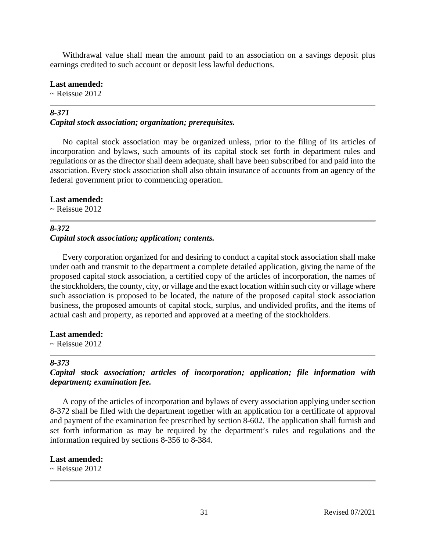Withdrawal value shall mean the amount paid to an association on a savings deposit plus earnings credited to such account or deposit less lawful deductions.

#### **Last amended:**

 $\sim$  Reissue 2012

## *8-371*

### *Capital stock association; organization; prerequisites.*

No capital stock association may be organized unless, prior to the filing of its articles of incorporation and bylaws, such amounts of its capital stock set forth in department rules and regulations or as the director shall deem adequate, shall have been subscribed for and paid into the association. Every stock association shall also obtain insurance of accounts from an agency of the federal government prior to commencing operation.

#### **Last amended:**

 $\sim$  Reissue 2012

## *8-372 Capital stock association; application; contents.*

Every corporation organized for and desiring to conduct a capital stock association shall make under oath and transmit to the department a complete detailed application, giving the name of the proposed capital stock association, a certified copy of the articles of incorporation, the names of the stockholders, the county, city, or village and the exact location within such city or village where such association is proposed to be located, the nature of the proposed capital stock association business, the proposed amounts of capital stock, surplus, and undivided profits, and the items of actual cash and property, as reported and approved at a meeting of the stockholders.

#### **Last amended:**

 $\sim$  Reissue 2012

#### *8-373*

*Capital stock association; articles of incorporation; application; file information with department; examination fee.*

A copy of the articles of incorporation and bylaws of every association applying under section 8-372 shall be filed with the department together with an application for a certificate of approval and payment of the examination fee prescribed by section 8-602. The application shall furnish and set forth information as may be required by the department's rules and regulations and the information required by sections 8-356 to 8-384.

#### **Last amended:**

 $\sim$  Reissue 2012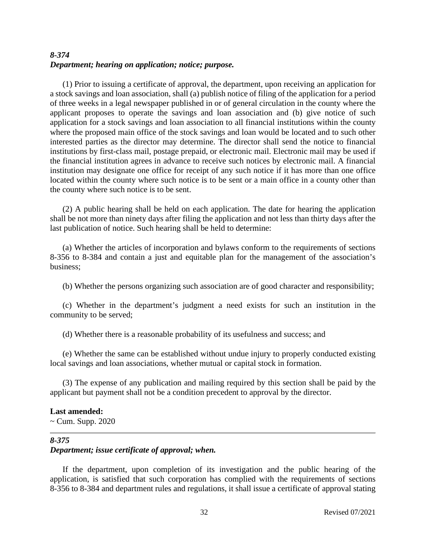## *8-374 Department; hearing on application; notice; purpose.*

(1) Prior to issuing a certificate of approval, the department, upon receiving an application for a stock savings and loan association, shall (a) publish notice of filing of the application for a period of three weeks in a legal newspaper published in or of general circulation in the county where the applicant proposes to operate the savings and loan association and (b) give notice of such application for a stock savings and loan association to all financial institutions within the county where the proposed main office of the stock savings and loan would be located and to such other interested parties as the director may determine. The director shall send the notice to financial institutions by first-class mail, postage prepaid, or electronic mail. Electronic mail may be used if the financial institution agrees in advance to receive such notices by electronic mail. A financial institution may designate one office for receipt of any such notice if it has more than one office located within the county where such notice is to be sent or a main office in a county other than the county where such notice is to be sent.

(2) A public hearing shall be held on each application. The date for hearing the application shall be not more than ninety days after filing the application and not less than thirty days after the last publication of notice. Such hearing shall be held to determine:

(a) Whether the articles of incorporation and bylaws conform to the requirements of sections 8-356 to 8-384 and contain a just and equitable plan for the management of the association's business;

(b) Whether the persons organizing such association are of good character and responsibility;

(c) Whether in the department's judgment a need exists for such an institution in the community to be served;

(d) Whether there is a reasonable probability of its usefulness and success; and

(e) Whether the same can be established without undue injury to properly conducted existing local savings and loan associations, whether mutual or capital stock in formation.

(3) The expense of any publication and mailing required by this section shall be paid by the applicant but payment shall not be a condition precedent to approval by the director.

#### **Last amended:**

 $\sim$  Cum. Supp. 2020

## *8-375*

## *Department; issue certificate of approval; when.*

If the department, upon completion of its investigation and the public hearing of the application, is satisfied that such corporation has complied with the requirements of sections 8-356 to 8-384 and department rules and regulations, it shall issue a certificate of approval stating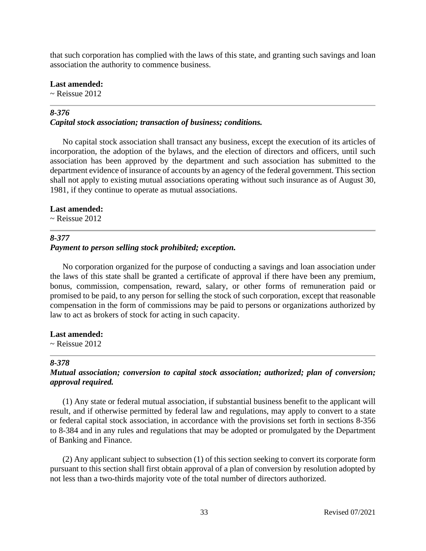that such corporation has complied with the laws of this state, and granting such savings and loan association the authority to commence business.

**Last amended:**

 $\sim$  Reissue 2012

## *8-376*

#### *Capital stock association; transaction of business; conditions.*

No capital stock association shall transact any business, except the execution of its articles of incorporation, the adoption of the bylaws, and the election of directors and officers, until such association has been approved by the department and such association has submitted to the department evidence of insurance of accounts by an agency of the federal government. This section shall not apply to existing mutual associations operating without such insurance as of August 30, 1981, if they continue to operate as mutual associations.

#### **Last amended:**

 $\sim$  Reissue 2012

#### *8-377*

### *Payment to person selling stock prohibited; exception.*

No corporation organized for the purpose of conducting a savings and loan association under the laws of this state shall be granted a certificate of approval if there have been any premium, bonus, commission, compensation, reward, salary, or other forms of remuneration paid or promised to be paid, to any person for selling the stock of such corporation, except that reasonable compensation in the form of commissions may be paid to persons or organizations authorized by law to act as brokers of stock for acting in such capacity.

#### **Last amended:**

 $\sim$  Reissue 2012

#### *8-378*

## *Mutual association; conversion to capital stock association; authorized; plan of conversion; approval required.*

(1) Any state or federal mutual association, if substantial business benefit to the applicant will result, and if otherwise permitted by federal law and regulations, may apply to convert to a state or federal capital stock association, in accordance with the provisions set forth in sections 8-356 to 8-384 and in any rules and regulations that may be adopted or promulgated by the Department of Banking and Finance.

(2) Any applicant subject to subsection (1) of this section seeking to convert its corporate form pursuant to this section shall first obtain approval of a plan of conversion by resolution adopted by not less than a two-thirds majority vote of the total number of directors authorized.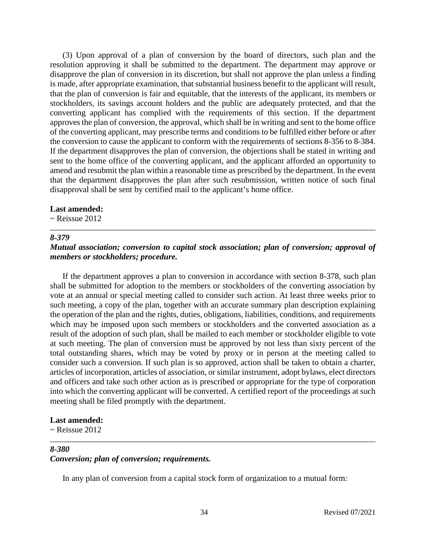(3) Upon approval of a plan of conversion by the board of directors, such plan and the resolution approving it shall be submitted to the department. The department may approve or disapprove the plan of conversion in its discretion, but shall not approve the plan unless a finding is made, after appropriate examination, that substantial business benefit to the applicant will result, that the plan of conversion is fair and equitable, that the interests of the applicant, its members or stockholders, its savings account holders and the public are adequately protected, and that the converting applicant has complied with the requirements of this section. If the department approves the plan of conversion, the approval, which shall be in writing and sent to the home office of the converting applicant, may prescribe terms and conditions to be fulfilled either before or after the conversion to cause the applicant to conform with the requirements of sections 8-356 to 8-384. If the department disapproves the plan of conversion, the objections shall be stated in writing and sent to the home office of the converting applicant, and the applicant afforded an opportunity to amend and resubmit the plan within a reasonable time as prescribed by the department. In the event that the department disapproves the plan after such resubmission, written notice of such final disapproval shall be sent by certified mail to the applicant's home office.

#### **Last amended:**

 $\sim$  Reissue 2012

#### *8-379*

### *Mutual association; conversion to capital stock association; plan of conversion; approval of members or stockholders; procedure.*

If the department approves a plan to conversion in accordance with section 8-378, such plan shall be submitted for adoption to the members or stockholders of the converting association by vote at an annual or special meeting called to consider such action. At least three weeks prior to such meeting, a copy of the plan, together with an accurate summary plan description explaining the operation of the plan and the rights, duties, obligations, liabilities, conditions, and requirements which may be imposed upon such members or stockholders and the converted association as a result of the adoption of such plan, shall be mailed to each member or stockholder eligible to vote at such meeting. The plan of conversion must be approved by not less than sixty percent of the total outstanding shares, which may be voted by proxy or in person at the meeting called to consider such a conversion. If such plan is so approved, action shall be taken to obtain a charter, articles of incorporation, articles of association, or similar instrument, adopt bylaws, elect directors and officers and take such other action as is prescribed or appropriate for the type of corporation into which the converting applicant will be converted. A certified report of the proceedings at such meeting shall be filed promptly with the department.

#### **Last amended:**

 $\sim$  Reissue 2012

# *8-380*

## *Conversion; plan of conversion; requirements.*

In any plan of conversion from a capital stock form of organization to a mutual form: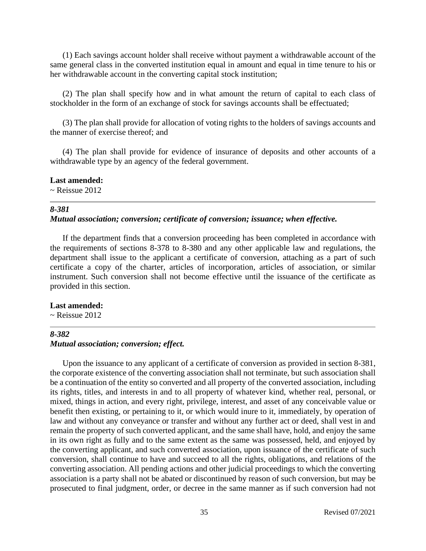(1) Each savings account holder shall receive without payment a withdrawable account of the same general class in the converted institution equal in amount and equal in time tenure to his or her withdrawable account in the converting capital stock institution;

(2) The plan shall specify how and in what amount the return of capital to each class of stockholder in the form of an exchange of stock for savings accounts shall be effectuated;

(3) The plan shall provide for allocation of voting rights to the holders of savings accounts and the manner of exercise thereof; and

(4) The plan shall provide for evidence of insurance of deposits and other accounts of a withdrawable type by an agency of the federal government.

## **Last amended:**

 $\sim$  Reissue 2012

#### *8-381*

#### *Mutual association; conversion; certificate of conversion; issuance; when effective.*

If the department finds that a conversion proceeding has been completed in accordance with the requirements of sections 8-378 to 8-380 and any other applicable law and regulations, the department shall issue to the applicant a certificate of conversion, attaching as a part of such certificate a copy of the charter, articles of incorporation, articles of association, or similar instrument. Such conversion shall not become effective until the issuance of the certificate as provided in this section.

#### **Last amended:**

 $\sim$  Reissue 2012

## *8-382 Mutual association; conversion; effect.*

Upon the issuance to any applicant of a certificate of conversion as provided in section 8-381, the corporate existence of the converting association shall not terminate, but such association shall be a continuation of the entity so converted and all property of the converted association, including its rights, titles, and interests in and to all property of whatever kind, whether real, personal, or mixed, things in action, and every right, privilege, interest, and asset of any conceivable value or benefit then existing, or pertaining to it, or which would inure to it, immediately, by operation of law and without any conveyance or transfer and without any further act or deed, shall vest in and remain the property of such converted applicant, and the same shall have, hold, and enjoy the same in its own right as fully and to the same extent as the same was possessed, held, and enjoyed by the converting applicant, and such converted association, upon issuance of the certificate of such conversion, shall continue to have and succeed to all the rights, obligations, and relations of the converting association. All pending actions and other judicial proceedings to which the converting association is a party shall not be abated or discontinued by reason of such conversion, but may be prosecuted to final judgment, order, or decree in the same manner as if such conversion had not